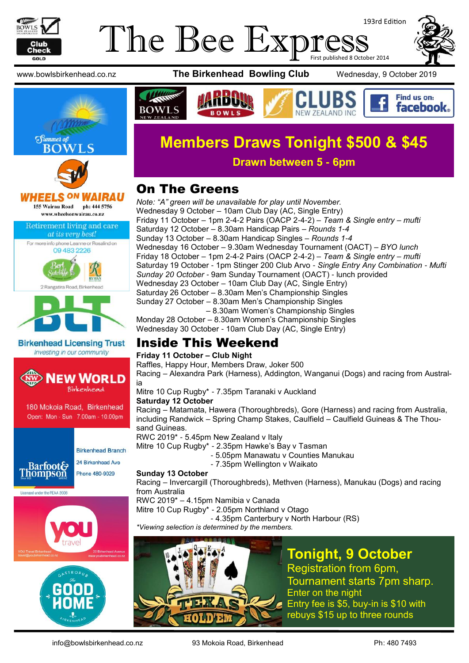

#### The Bee Expi 193rd Edition First published 8 October 2014







IRAU 155 Wairau Road ph: 444 5756 www.wheelsonwairau.co.nz

Retirement living and care at its very best!





**Birkenhead Licensing Trust** Investing in our community









www.bowlsbirkenhead.co.nz **The Birkenhead Bowling Club** Wednesday, 9 October 2019



Find us on: facebook.





**Drawn between 5 - 6pm**

## On The Greens

*Note: "A" green will be unavailable for play until November.* Wednesday 9 October – 10am Club Day (AC, Single Entry) Friday 11 October – 1pm 2-4-2 Pairs (OACP 2-4-2) – *Team & Single entry – mufti* Saturday 12 October – 8.30am Handicap Pairs – *Rounds 1-4* Sunday 13 October – 8.30am Handicap Singles – *Rounds 1-4* Wednesday 16 October – 9.30am Wednesday Tournament (OACT) – *BYO lunch* Friday 18 October – 1pm 2-4-2 Pairs (OACP 2-4-2) – *Team & Single entry – mufti* Saturday 19 October - 1pm Stinger 200 Club Arvo - *Single Entry Any Combination - Mufti Sunday 20 October -* 9am Sunday Tournament (OACT) - lunch provided Wednesday 23 October – 10am Club Day (AC, Single Entry) Saturday 26 October – 8.30am Men's Championship Singles Sunday 27 October – 8.30am Men's Championship Singles – 8.30am Women's Championship Singles Monday 28 October – 8.30am Women's Championship Singles

Wednesday 30 October - 10am Club Day (AC, Single Entry)

#### Inside This Weekend

#### **Friday 11 October – Club Night**

Raffles, Happy Hour, Members Draw, Joker 500

Racing – Alexandra Park (Harness), Addington, Wanganui (Dogs) and racing from Australia

Mitre 10 Cup Rugby\* - 7.35pm Taranaki v Auckland

#### **Saturday 12 October**

Racing – Matamata, Hawera (Thoroughbreds), Gore (Harness) and racing from Australia, including Randwick – Spring Champ Stakes, Caulfield – Caulfield Guineas & The Thousand Guineas.

RWC 2019\* - 5.45pm New Zealand v Italy

Mitre 10 Cup Rugby\* - 2.35pm Hawke's Bay v Tasman

- 5.05pm Manawatu v Counties Manukau
- 7.35pm Wellington v Waikato

#### **Sunday 13 October**

Racing – Invercargill (Thoroughbreds), Methven (Harness), Manukau (Dogs) and racing from Australia

RWC 2019\* – 4.15pm Namibia v Canada

Mitre 10 Cup Rugby\* - 2.05pm Northland v Otago

- 4.35pm Canterbury v North Harbour (RS)

*\*Viewing selection is determined by the members.*



**Tonight, 9 October**

Registration from 6pm, Tournament starts 7pm sharp. Enter on the night Entry fee is \$5, buy-in is \$10 with rebuys \$15 up to three rounds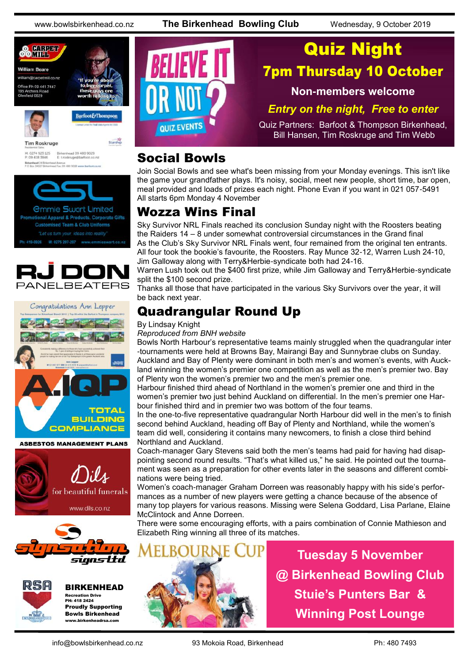www.bowlsbirkenhead.co.nz **The Birkenhead Bowling Club** Wednesday, 9 October 2019





**Tim Roskruge** 

Starship

Birkenhead 09 480 9029<br>E: troskruge@barfoot.co M: 0274 923 125<br>P: 09 418 3846 Birkenhead 24 BH<br>P O Box 34027 BM



onal Apparel & Products, Corporate Gifts **Customised Team & Club Uniforms** M: 0275 297-297 www.emmiesw





**ASBESTOS MANAGEMENT PLANS** 







BIRKENHEAD Recreation Drive PH: 418 2424 Proudly Supporting Bowls Birkenhead www.birkenheadrsa.com



#### Social Bowls

Join Social Bowls and see what's been missing from your Monday evenings. This isn't like the game your grandfather plays. It's noisy, social, meet new people, short time, bar open, meal provided and loads of prizes each night. Phone Evan if you want in 021 057-5491 All starts 6pm Monday 4 November

#### Wozza Wins Final

Sky Survivor NRL Finals reached its conclusion Sunday night with the Roosters beating the Raiders 14 – 8 under somewhat controversial circumstances in the Grand final As the Club's Sky Survivor NRL Finals went, four remained from the original ten entrants. All four took the bookie's favourite, the Roosters. Ray Munce 32-12, Warren Lush 24-10, Jim Galloway along with Terry&Herbie-syndicate both had 24-16.

Warren Lush took out the \$400 first prize, while Jim Galloway and Terry&Herbie-syndicate split the \$100 second prize.

Thanks all those that have participated in the various Sky Survivors over the year, it will be back next year.

## Quadrangular Round Up

By Lindsay Knight

*Reproduced from BNH website*

Bowls North Harbour's representative teams mainly struggled when the quadrangular inter -tournaments were held at Browns Bay, Mairangi Bay and Sunnybrae clubs on Sunday. Auckland and Bay of Plenty were dominant in both men's and women's events, with Auckland winning the women's premier one competition as well as the men's premier two. Bay of Plenty won the women's premier two and the men's premier one.

Harbour finished third ahead of Northland in the women's premier one and third in the women's premier two just behind Auckland on differential. In the men's premier one Harbour finished third and in premier two was bottom of the four teams.

In the one-to-five representative quadrangular North Harbour did well in the men's to finish second behind Auckland, heading off Bay of Plenty and Northland, while the women's team did well, considering it contains many newcomers, to finish a close third behind Northland and Auckland.

Coach-manager Gary Stevens said both the men's teams had paid for having had disappointing second round results. "That's what killed us," he said. He pointed out the tournament was seen as a preparation for other events later in the seasons and different combinations were being tried.

Women's coach-manager Graham Dorreen was reasonably happy with his side's performances as a number of new players were getting a chance because of the absence of many top players for various reasons. Missing were Selena Goddard, Lisa Parlane, Elaine McClintock and Anne Dorreen.

There were some encouraging efforts, with a pairs combination of Connie Mathieson and Elizabeth Ring winning all three of its matches.



**Tuesday 5 November @ Birkenhead Bowling Club Stuie's Punters Bar & Winning Post Lounge**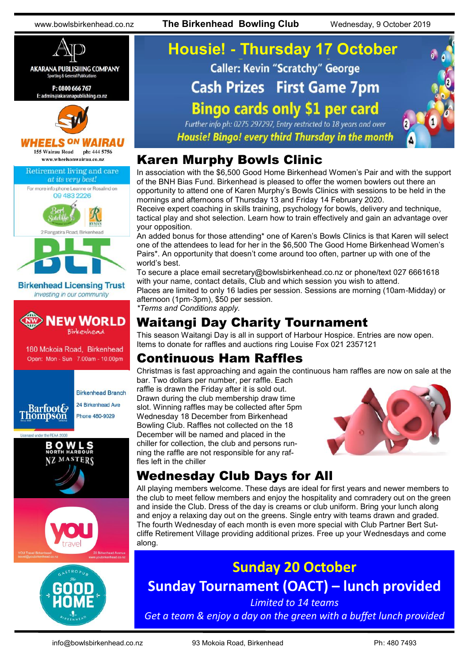www.bowlsbirkenhead.co.nz **The Birkenhead Bowling Club** Wednesday, 9 October 2019



# **Housie! - Thursday 17 October Caller: Kevin "Scratchy" George Cash Prizes First Game 7pm Bingo cards only \$1 per card**

Further info ph: 0275 297297, Entry restricted to 18 years and over Housie! Bingo! every third Thursday in the month

#### Karen Murphy Bowls Clinic

In association with the \$6,500 Good Home Birkenhead Women's Pair and with the support of the BNH Bias Fund. Birkenhead is pleased to offer the women bowlers out there an opportunity to attend one of Karen Murphy's Bowls Clinics with sessions to be held in the mornings and afternoons of Thursday 13 and Friday 14 February 2020.

Receive expert coaching in skills training, psychology for bowls, delivery and technique, tactical play and shot selection. Learn how to train effectively and gain an advantage over your opposition.

An added bonus for those attending\* one of Karen's Bowls Clinics is that Karen will select one of the attendees to lead for her in the \$6,500 The Good Home Birkenhead Women's Pairs\*. An opportunity that doesn't come around too often, partner up with one of the world's best.

To secure a place email [secretary@bowlsbirkenhead.co.nz](mailto:secretary@bowlsbirkenhead.co.nz) or phone/text 027 6661618 with your name, contact details, Club and which session you wish to attend. Places are limited to only 16 ladies per session. Sessions are morning (10am-Midday) or afternoon (1pm-3pm), \$50 per session.

*\*Terms and Conditions apply.*

### Waitangi Day Charity Tournament

This season Waitangi Day is all in support of Harbour Hospice. Entries are now open. Items to donate for raffles and auctions ring Louise Fox 021 2357121

#### Continuous Ham Raffles

Christmas is fast approaching and again the continuous ham raffles are now on sale at the bar. Two dollars per number, per raffle. Each raffle is drawn the Friday after it is sold out. Drawn during the club membership draw time slot. Winning raffles may be collected after 5pm Wednesday 18 December from Birkenhead Bowling Club. Raffles not collected on the 18 December will be named and placed in the chiller for collection, the club and persons running the raffle are not responsible for any raffles left in the chiller



## Wednesday Club Days for All

All playing members welcome. These days are ideal for first years and newer members to the club to meet fellow members and enjoy the hospitality and comradery out on the green and inside the Club. Dress of the day is creams or club uniform. Bring your lunch along and enjoy a relaxing day out on the greens. Single entry with teams drawn and graded. The fourth Wednesday of each month is even more special with Club Partner Bert Sutcliffe Retirement Village providing additional prizes. Free up your Wednesdays and come along.

**Sunday 20 October Sunday Tournament (OACT) – lunch provided**

*Limited to 14 teams Get a team & enjoy a day on the green with a buffet lunch provided*